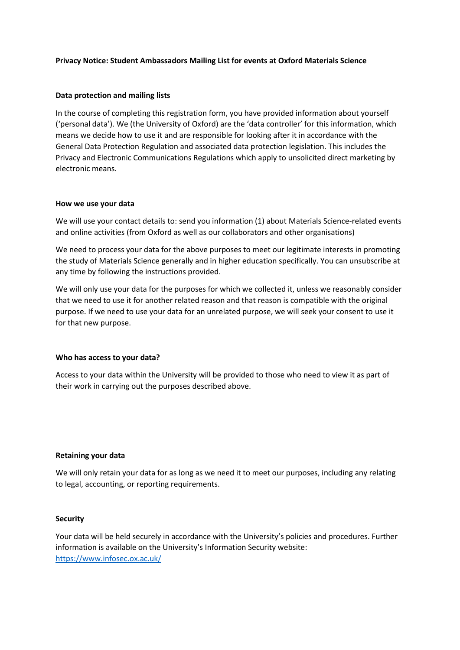## **Privacy Notice: Student Ambassadors Mailing List for events at Oxford Materials Science**

### **Data protection and mailing lists**

In the course of completing this registration form, you have provided information about yourself ('personal data'). We (the University of Oxford) are the 'data controller' for this information, which means we decide how to use it and are responsible for looking after it in accordance with the General Data Protection Regulation and associated data protection legislation. This includes the Privacy and Electronic Communications Regulations which apply to unsolicited direct marketing by electronic means.

### **How we use your data**

We will use your contact details to: send you information (1) about Materials Science-related events and online activities (from Oxford as well as our collaborators and other organisations)

We need to process your data for the above purposes to meet our legitimate interests in promoting the study of Materials Science generally and in higher education specifically. You can unsubscribe at any time by following the instructions provided.

We will only use your data for the purposes for which we collected it, unless we reasonably consider that we need to use it for another related reason and that reason is compatible with the original purpose. If we need to use your data for an unrelated purpose, we will seek your consent to use it for that new purpose.

## **Who has access to your data?**

Access to your data within the University will be provided to those who need to view it as part of their work in carrying out the purposes described above.

#### **Retaining your data**

We will only retain your data for as long as we need it to meet our purposes, including any relating to legal, accounting, or reporting requirements.

#### **Security**

Your data will be held securely in accordance with the University's policies and procedures. Further information is available on the University's Information Security website: <https://www.infosec.ox.ac.uk/>